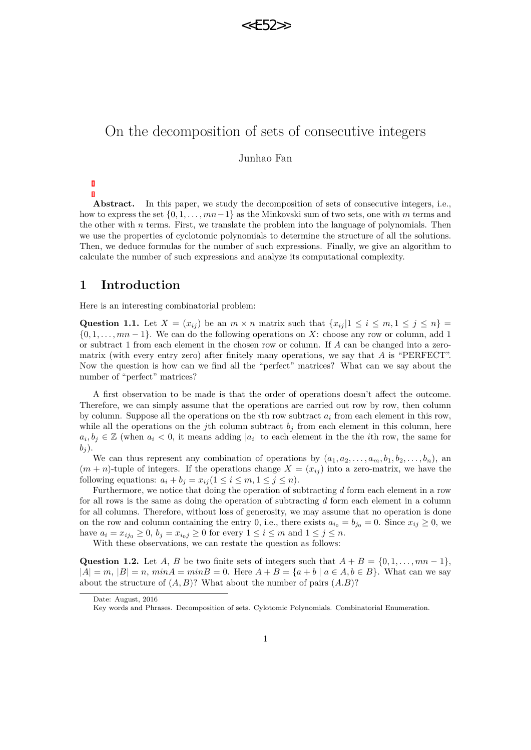

# On the decomposition of sets of consecutive integers

Junhao Fan

Abstract. In this paper, we study the decomposition of sets of consecutive integers, i.e., how to express the set {0*,* 1*, . . . , mn*−1} as the Minkovski sum of two sets, one with *m* terms and the other with *n* terms. First, we translate the problem into the language of polynomials. Then we use the properties of cyclotomic polynomials to determine the structure of all the solutions. Then, we deduce formulas for the number of such expressions. Finally, we give an algorithm to calculate the number of such expressions and analyze its computational complexity.

## **1 Introduction**

Here is an interesting combinatorial problem:

<span id="page-0-0"></span>Question 1.1. Let  $X = (x_{ij})$  be an  $m \times n$  matrix such that  $\{x_{ij} | 1 \le i \le m, 1 \le j \le n\}$ {0*,* 1*, . . . , mn* − 1}. We can do the following operations on *X*: choose any row or column, add 1 or subtract 1 from each element in the chosen row or column. If *A* can be changed into a zeromatrix (with every entry zero) after finitely many operations, we say that *A* is "PERFECT". Now the question is how can we find all the "perfect" matrices? What can we say about the number of "perfect" matrices?

A first observation to be made is that the order of operations doesn't affect the outcome. Therefore, we can simply assume that the operations are carried out row by row, then column by column. Suppose all the operations on the *i*th row subtract *a<sup>i</sup>* from each element in this row, while all the operations on the *j*th column subtract  $b_j$  from each element in this column, here  $a_i, b_j \in \mathbb{Z}$  (when  $a_i < 0$ , it means adding |*a*<sub>*i*</sub>| to each element in the *i*th row, the same for  $b_j$ .

We can thus represent any combination of operations by  $(a_1, a_2, \ldots, a_m, b_1, b_2, \ldots, b_n)$ , an  $(m + n)$ -tuple of integers. If the operations change  $X = (x_{ij})$  into a zero-matrix, we have the following equations:  $a_i + b_j = x_{ij} (1 \leq i \leq m, 1 \leq j \leq n)$ .

Furthermore, we notice that doing the operation of subtracting *d* form each element in a row for all rows is the same as doing the operation of subtracting *d* form each element in a column for all columns. Therefore, without loss of generosity, we may assume that no operation is done on the row and column containing the entry 0, i.e., there exists  $a_{i_0} = b_{j_0} = 0$ . Since  $x_{ij} \ge 0$ , we have  $a_i = x_{ij_0} \geq 0$ ,  $b_j = x_{i_0j} \geq 0$  for every  $1 \leq i \leq m$  and  $1 \leq j \leq n$ .

With these observations, we can restate the question as follows:

<span id="page-0-1"></span>**Question 1.2.** Let *A*, *B* be two finite sets of integers such that  $A + B = \{0, 1, \ldots, mn - 1\}$ ,  $|A| = m$ ,  $|B| = n$ ,  $minA = minB = 0$ . Here  $A + B = \{a + b \mid a \in A, b \in B\}$ . What can we say about the structure of  $(A, B)$ ? What about the number of pairs  $(A.B)$ ?

Date: August, 2016

Key words and Phrases. Decomposition of sets. Cylotomic Polynomials. Combinatorial Enumeration.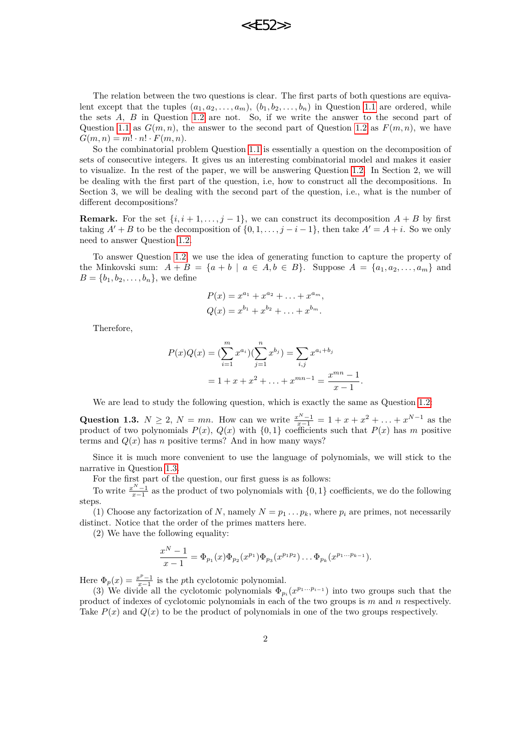

The relation between the two questions is clear. The first parts of both questions are equivalent except that the tuples  $(a_1, a_2, \ldots, a_m)$ ,  $(b_1, b_2, \ldots, b_n)$  in Question [1.1](#page-0-0) are ordered, while the sets *A*, *B* in Question [1.2](#page-0-1) are not. So, if we write the answer to the second part of Question [1.1](#page-0-0) as  $G(m, n)$ , the answer to the second part of Question [1.2](#page-0-1) as  $F(m, n)$ , we have  $G(m, n) = m! \cdot n! \cdot F(m, n).$ 

So the combinatorial problem Question [1.1](#page-0-0) is essentially a question on the decomposition of sets of consecutive integers. It gives us an interesting combinatorial model and makes it easier to visualize. In the rest of the paper, we will be answering Question [1.2.](#page-0-1) In Section 2, we will be dealing with the first part of the question, i.e, how to construct all the decompositions. In Section 3, we will be dealing with the second part of the question, i.e., what is the number of different decompositions?

**Remark.** For the set  $\{i, i+1, \ldots, j-1\}$ , we can construct its decomposition  $A + B$  by first taking  $A' + B$  to be the decomposition of  $\{0, 1, \ldots, j - i - 1\}$ , then take  $A' = A + i$ . So we only need to answer Question [1.2.](#page-0-1)

To answer Question [1.2,](#page-0-1) we use the idea of generating function to capture the property of the Minkovski sum:  $A + B = \{a + b \mid a \in A, b \in B\}$ . Suppose  $A = \{a_1, a_2, \ldots, a_m\}$  and  $B = \{b_1, b_2, \ldots, b_n\}$ , we define

$$
P(x) = x^{a_1} + x^{a_2} + \ldots + x^{a_m},
$$
  
\n
$$
Q(x) = x^{b_1} + x^{b_2} + \ldots + x^{b_m}.
$$

Therefore,

$$
P(x)Q(x) = \left(\sum_{i=1}^{m} x^{a_i}\right)\left(\sum_{j=1}^{n} x^{b_j}\right) = \sum_{i,j} x^{a_i + b_j}
$$

$$
= 1 + x + x^2 + \dots + x^{mn-1} = \frac{x^{mn} - 1}{x - 1}
$$

*.*

We are lead to study the following question, which is exactly the same as Question [1.2:](#page-0-1)

<span id="page-1-0"></span>Question 1.3.  $N \ge 2$ ,  $N = mn$ . How can we write  $\frac{x^N - 1}{x - 1} = 1 + x + x^2 + \ldots + x^{N-1}$  as the product of two polynomials  $P(x)$ ,  $Q(x)$  with  $\{0,1\}$  coefficients such that  $P(x)$  has *m* positive terms and  $Q(x)$  has *n* positive terms? And in how many ways?

Since it is much more convenient to use the language of polynomials, we will stick to the narrative in Question [1.3.](#page-1-0)

For the first part of the question, our first guess is as follows:

To write  $\frac{x^N-1}{x-1}$  as the product of two polynomials with  $\{0,1\}$  coefficients, we do the following steps.

(1) Choose any factorization of *N*, namely  $N = p_1 \ldots p_k$ , where  $p_i$  are primes, not necessarily distinct. Notice that the order of the primes matters here.

(2) We have the following equality:

$$
\frac{x^N-1}{x-1} = \Phi_{p_1}(x)\Phi_{p_2}(x^{p_1})\Phi_{p_3}(x^{p_1p_2})\dots\Phi_{p_k}(x^{p_1\dots p_{k-1}}).
$$

Here  $\Phi_p(x) = \frac{x^p - 1}{x - 1}$  is the *p*th cyclotomic polynomial.

(3) We divide all the cyclotomic polynomials  $\Phi_{p_i}(x^{p_1...p_{i-1}})$  into two groups such that the product of indexes of cyclotomic polynomials in each of the two groups is *m* and *n* respectively. Take  $P(x)$  and  $Q(x)$  to be the product of polynomials in one of the two groups respectively.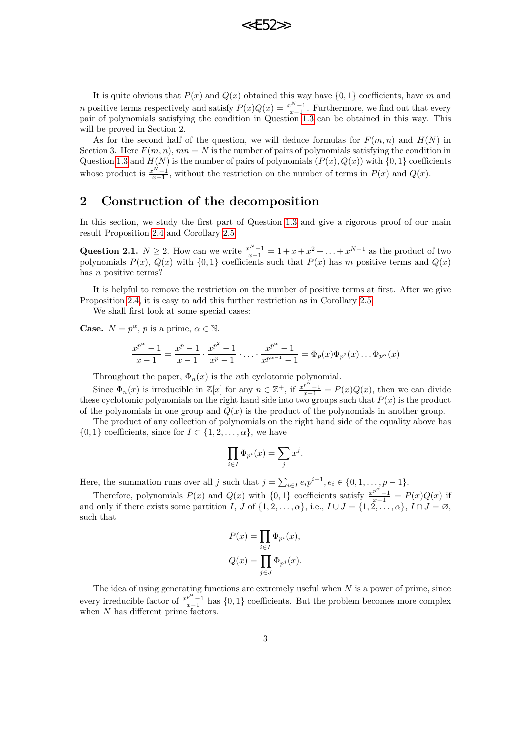**22F52** 

It is quite obvious that  $P(x)$  and  $Q(x)$  obtained this way have  $\{0,1\}$  coefficients, have *m* and *n* positive terms respectively and satisfy  $P(x)Q(x) = \frac{x^N - 1}{x - 1}$ . Furthermore, we find out that every pair of polynomials satisfying the condition in Question [1.3](#page-1-0) can be obtained in this way. This will be proved in Section 2.

As for the second half of the question, we will deduce formulas for  $F(m, n)$  and  $H(N)$  in Section 3. Here  $F(m, n)$ ,  $mn = N$  is the number of pairs of polynomials satisfying the condition in Question [1.3](#page-1-0) and  $H(N)$  is the number of pairs of polynomials  $(P(x), Q(x))$  with  $\{0, 1\}$  coefficients whose product is  $\frac{x^N-1}{x-1}$ , without the restriction on the number of terms in  $P(x)$  and  $Q(x)$ .

# **2 Construction of the decomposition**

In this section, we study the first part of Question [1.3](#page-1-0) and give a rigorous proof of our main result Proposition [2.4](#page-4-0) and Corollary [2.5.](#page-6-0)

Question 2.1.  $N \ge 2$ . How can we write  $\frac{x^N - 1}{x - 1} = 1 + x + x^2 + \ldots + x^{N-1}$  as the product of two polynomials  $P(x)$ ,  $Q(x)$  with  $\{0,1\}$  coefficients such that  $P(x)$  has *m* positive terms and  $Q(x)$ has *n* positive terms?

It is helpful to remove the restriction on the number of positive terms at first. After we give Proposition [2.4,](#page-4-0) it is easy to add this further restriction as in Corollary [2.5.](#page-6-0)

We shall first look at some special cases:

**Case.**  $N = p^{\alpha}, p$  is a prime,  $\alpha \in \mathbb{N}$ .

$$
\frac{x^{p^{\alpha}} - 1}{x - 1} = \frac{x^{p} - 1}{x - 1} \cdot \frac{x^{p^{2}} - 1}{x^{p} - 1} \cdot \dots \cdot \frac{x^{p^{\alpha}} - 1}{x^{p^{\alpha-1}} - 1} = \Phi_{p}(x) \Phi_{p^{2}}(x) \dots \Phi_{p^{\alpha}}(x)
$$

Throughout the paper,  $\Phi_n(x)$  is the *n*th cyclotomic polynomial.

Since  $\Phi_n(x)$  is irreducible in  $\mathbb{Z}[x]$  for any  $n \in \mathbb{Z}^+$ , if  $\frac{x^{p^{\alpha}}-1}{x-1} = P(x)Q(x)$ , then we can divide these cyclotomic polynomials on the right hand side into two groups such that  $P(x)$  is the product of the polynomials in one group and  $Q(x)$  is the product of the polynomials in another group.

The product of any collection of polynomials on the right hand side of the equality above has  $\{0,1\}$  coefficients, since for  $I \subset \{1,2,\ldots,\alpha\}$ , we have

$$
\prod_{i \in I} \Phi_{p^i}(x) = \sum_j x^j.
$$

Here, the summation runs over all *j* such that  $j = \sum_{i \in I} e_i p^{i-1}, e_i \in \{0, 1, \ldots, p-1\}.$ 

Therefore, polynomials  $P(x)$  and  $Q(x)$  with  $\{0,1\}$  coefficients satisfy  $\frac{x^{p^{\alpha}}-1}{x-1} = P(x)Q(x)$  if and only if there exists some partition *I*, *J* of  $\{1, 2, \ldots, \alpha\}$ , i.e.,  $I \cup J = \{1, 2, \ldots, \alpha\}$ ,  $I \cap J = \emptyset$ , such that

$$
P(x) = \prod_{i \in I} \Phi_{p^i}(x),
$$
  

$$
Q(x) = \prod_{j \in J} \Phi_{p^j}(x).
$$

The idea of using generating functions are extremely useful when *N* is a power of prime, since every irreducible factor of  $\frac{x^{p^{\alpha}}-1}{x-1}$  has {0, 1} coefficients. But the problem becomes more complex when *N* has different prime factors.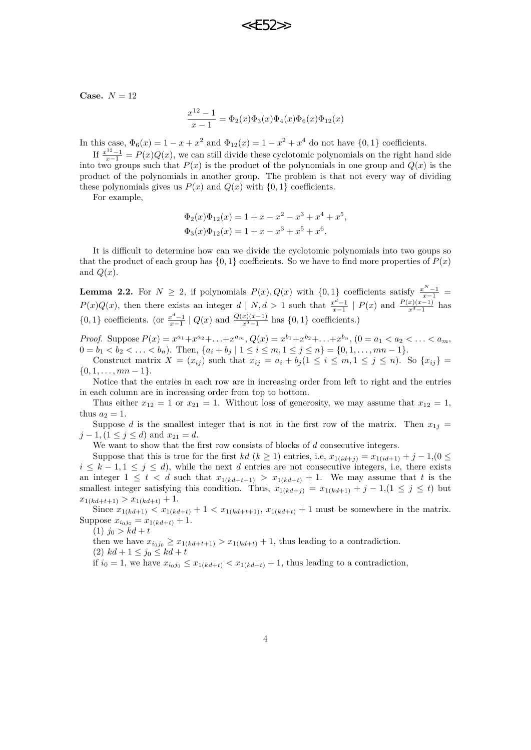**Case.**  $N = 12$ 

$$
\frac{x^{12} - 1}{x - 1} = \Phi_2(x)\Phi_3(x)\Phi_4(x)\Phi_6(x)\Phi_{12}(x)
$$

In this case,  $\Phi_6(x) = 1 - x + x^2$  and  $\Phi_{12}(x) = 1 - x^2 + x^4$  do not have  $\{0, 1\}$  coefficients.

If  $\frac{x^{12}-1}{x-1} = P(x)Q(x)$ , we can still divide these cyclotomic polynomials on the right hand side into two groups such that  $P(x)$  is the product of the polynomials in one group and  $Q(x)$  is the product of the polynomials in another group. The problem is that not every way of dividing these polynomials gives us  $P(x)$  and  $Q(x)$  with  $\{0, 1\}$  coefficients.

For example,

$$
\Phi_2(x)\Phi_{12}(x) = 1 + x - x^2 - x^3 + x^4 + x^5,
$$
  

$$
\Phi_3(x)\Phi_{12}(x) = 1 + x - x^3 + x^5 + x^6.
$$

It is difficult to determine how can we divide the cyclotomic polynomials into two goups so that the product of each group has  $\{0, 1\}$  coefficients. So we have to find more properties of  $P(x)$ and  $Q(x)$ .

<span id="page-3-0"></span>**Lemma 2.2.** For  $N \geq 2$ , if polynomials  $P(x)$ ,  $Q(x)$  with  $\{0, 1\}$  coefficients satisfy  $\frac{x^N - 1}{x-1}$ *P*(*x*)*Q*(*x*), then there exists an integer *d* | *N, d* > 1 such that  $\frac{x^d-1}{x-1}$  | *P*(*x*) and  $\frac{P(x)(x-1)}{x^d-1}$  has  $\{0, 1\}$  coefficients. (or  $\frac{x^d-1}{x-1} \mid Q(x)$  and  $\frac{Q(x)(x-1)}{x^d-1}$  has  $\{0, 1\}$  coefficients.)

*Proof.* Suppose  $P(x) = x^{a_1} + x^{a_2} + ... + x^{a_m}$ ,  $Q(x) = x^{b_1} + x^{b_2} + ... + x^{b_n}$ ,  $(0 = a_1 < a_2 < ... < a_m$ ,  $0 = b_1 < b_2 < \ldots < b_n$ . Then,  $\{a_i + b_j \mid 1 \le i \le m, 1 \le j \le n\} = \{0, 1, \ldots, mn - 1\}.$ 

Construct matrix  $X = (x_{ij})$  such that  $x_{ij} = a_i + b_j (1 \le i \le m, 1 \le j \le n)$ . So  $\{x_{ij}\}$  $\{0, 1, \ldots, mn - 1\}.$ 

Notice that the entries in each row are in increasing order from left to right and the entries in each column are in increasing order from top to bottom.

Thus either  $x_{12} = 1$  or  $x_{21} = 1$ . Without loss of generosity, we may assume that  $x_{12} = 1$ , thus  $a_2 = 1$ .

Suppose *d* is the smallest integer that is not in the first row of the matrix. Then  $x_{1j}$  = *j* − 1*,*(1 ≤ *j* ≤ *d*) and  $x_{21} = d$ .

We want to show that the first row consists of blocks of *d* consecutive integers.

Suppose that this is true for the first *kd* ( $k \ge 1$ ) entries, i.e,  $x_{1(id+i)} = x_{1(id+1)} + j - 1, (0 \le$  $i \leq k - 1, 1 \leq j \leq d$ , while the next *d* entries are not consecutive integers, i.e, there exists an integer  $1 \leq t < d$  such that  $x_{1(kd+t+1)} > x_{1(kd+t)} + 1$ . We may assume that *t* is the smallest integer satisfying this condition. Thus,  $x_{1(kd+j)} = x_{1(kd+1)} + j - 1, (1 \leq j \leq t)$  but  $x_{1(kd+t+1)} > x_{1(kd+t)} + 1.$ 

Since  $x_{1(kd+1)} < x_{1(kd+t)} + 1 < x_{1(kd+t+1)}$ ,  $x_{1(kd+t)} + 1$  must be somewhere in the matrix. Suppose  $x_{i_0j_0} = x_{1(kd+t)} + 1$ .

 $(1)$   $j_0 > kd + t$ 

then we have  $x_{i_0j_0} \geq x_{1(kd+t+1)} > x_{1(kd+t)} + 1$ , thus leading to a contradiction.

 $(2)$   $kd + 1 \leq j_0 \leq kd + t$ 

if  $i_0 = 1$ , we have  $x_{i_0j_0} \leq x_{1(kd+t)} < x_{1(kd+t)} + 1$ , thus leading to a contradiction,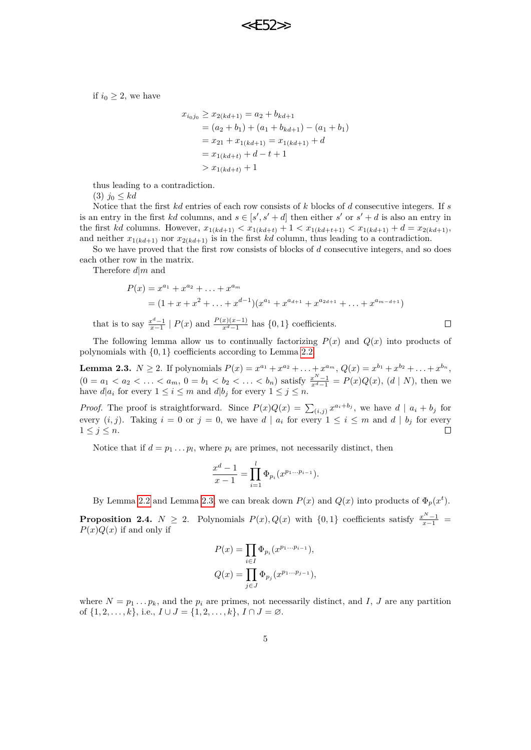if  $i_0 \geq 2$ , we have

$$
x_{i_0j_0} \ge x_{2(kd+1)} = a_2 + b_{kd+1}
$$
  
=  $(a_2 + b_1) + (a_1 + b_{kd+1}) - (a_1 + b_1)$   
=  $x_{21} + x_{1(kd+1)} = x_{1(kd+1)} + d$   
=  $x_{1(kd+t)} + d - t + 1$   
>  $x_{1(kd+t)} + 1$ 

thus leading to a contradiction.

(3) *j*<sup>0</sup> ≤ *kd*

Notice that the first *kd* entries of each row consists of *k* blocks of *d* consecutive integers. If *s* is an entry in the first *kd* columns, and  $s \in [s', s' + d]$  then either *s'* or  $s' + d$  is also an entry in the first *kd* columns. However,  $x_{1(kd+1)} < x_{1(kd+t)} + 1 < x_{1(kd+t+1)} < x_{1(kd+1)} + d = x_{2(kd+1)}$ , and neither  $x_{1(kd+1)}$  nor  $x_{2(kd+1)}$  is in the first *kd* column, thus leading to a contradiction.

So we have proved that the first row consists of blocks of *d* consecutive integers, and so does each other row in the matrix.

Therefore *d*|*m* and

$$
P(x) = x^{a_1} + x^{a_2} + \ldots + x^{a_m}
$$
  
=  $(1 + x + x^2 + \ldots + x^{d-1})(x^{a_1} + x^{a_{d+1}} + x^{a_{2d+1}} + \ldots + x^{a_{m-d+1}})$ 

that is to say  $\frac{x^d-1}{x-1} \mid P(x)$  and  $\frac{P(x)(x-1)}{x^d-1}$  has {0, 1} coefficients.

 $\Box$ 

The following lemma allow us to continually factorizing  $P(x)$  and  $Q(x)$  into products of polynomials with {0*,* 1} coefficients according to Lemma [2.2.](#page-3-0)

<span id="page-4-1"></span>**Lemma 2.3.**  $N \ge 2$ . If polynomials  $P(x) = x^{a_1} + x^{a_2} + ... + x^{a_m}$ ,  $Q(x) = x^{b_1} + x^{b_2} + ... + x^{b_n}$ ,  $(0 = a_1 < a_2 < \ldots < a_m, 0 = b_1 < b_2 < \ldots < b_n$  satisfy  $\frac{x^N - 1}{x^d - 1} = P(x)Q(x)$ ,  $(d | N)$ , then we have  $d|a_i$  for every  $1 \leq i \leq m$  and  $d|b_j$  for every  $1 \leq j \leq n$ .

*Proof.* The proof is straightforward. Since  $P(x)Q(x) = \sum_{(i,j)} x^{a_i+b_j}$ , we have  $d | a_i + b_j$  for every  $(i, j)$ . Taking  $i = 0$  or  $j = 0$ , we have  $d | a_i$  for every  $1 \le i \le m$  and  $d | b_j$  for every  $1 \leq j \leq n$ .

Notice that if  $d = p_1 \dots p_l$ , where  $p_i$  are primes, not necessarily distinct, then

$$
\frac{x^d - 1}{x - 1} = \prod_{i=1}^l \Phi_{p_i}(x^{p_1...p_{i-1}}).
$$

By Lemma [2.2](#page-3-0) and Lemma [2.3,](#page-4-1) we can break down  $P(x)$  and  $Q(x)$  into products of  $\Phi_p(x^t)$ .

<span id="page-4-0"></span>**Proposition 2.4.**  $N \geq 2$ . Polynomials  $P(x), Q(x)$  with  $\{0, 1\}$  coefficients satisfy  $\frac{x^N - 1}{x-1}$  $P(x)Q(x)$  if and only if

$$
P(x) = \prod_{i \in I} \Phi_{p_i}(x^{p_1...p_{i-1}}),
$$
  

$$
Q(x) = \prod_{j \in J} \Phi_{p_j}(x^{p_1...p_{j-1}}),
$$

where  $N = p_1 \ldots p_k$ , and the  $p_i$  are primes, not necessarily distinct, and *I*, *J* are any partition of  $\{1, 2, \ldots, k\}$ , i.e.,  $I \cup J = \{1, 2, \ldots, k\}$ ,  $I \cap J = \emptyset$ .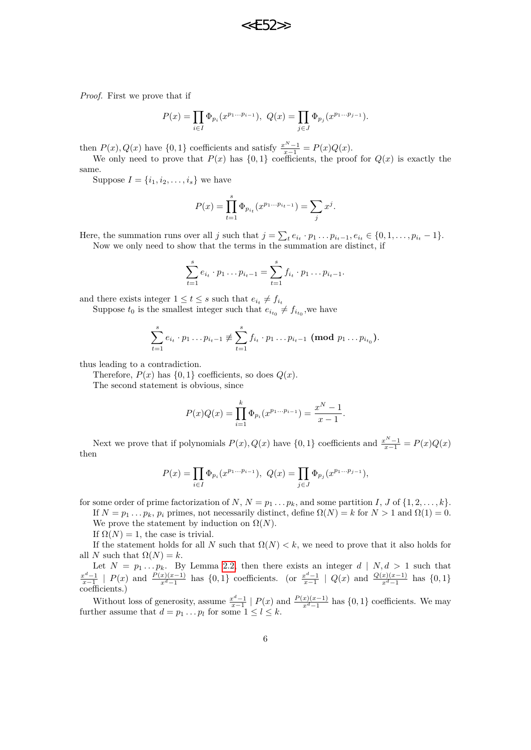

*Proof.* First we prove that if

$$
P(x) = \prod_{i \in I} \Phi_{p_i}(x^{p_1...p_{i-1}}), \ Q(x) = \prod_{j \in J} \Phi_{p_j}(x^{p_1...p_{j-1}}).
$$

then  $P(x)$ ,  $Q(x)$  have  $\{0, 1\}$  coefficients and satisfy  $\frac{x^N - 1}{x - 1} = P(x)Q(x)$ .

We only need to prove that  $P(x)$  has  $\{0,1\}$  coefficients, the proof for  $Q(x)$  is exactly the same.

Suppose  $I = \{i_1, i_2, ..., i_s\}$  we have

$$
P(x) = \prod_{t=1}^{s} \Phi_{p_{i_t}}(x^{p_1...p_{i_t-1}}) = \sum_j x^j.
$$

Here, the summation runs over all j such that  $j = \sum_{t} e_{i_t} \cdot p_1 \dots p_{i_t-1}, e_{i_t} \in \{0, 1, \dots, p_{i_t} - 1\}.$ Now we only need to show that the terms in the summation are distinct, if

$$
\sum_{t=1}^{s} e_{i_t} \cdot p_1 \dots p_{i_t-1} = \sum_{t=1}^{s} f_{i_t} \cdot p_1 \dots p_{i_t-1}.
$$

and there exists integer  $1 \le t \le s$  such that  $e_{i_t} \ne f_{i_t}$ 

Suppose  $t_0$  is the smallest integer such that  $e_{i t_0} \neq f_{i t_0}$ , we have

$$
\sum_{t=1}^{s} e_{i_t} \cdot p_1 \dots p_{i_t-1} \not\equiv \sum_{t=1}^{s} f_{i_t} \cdot p_1 \dots p_{i_t-1} \pmod{p_1 \dots p_{i_{t_0}}}.
$$

thus leading to a contradiction.

Therefore,  $P(x)$  has  $\{0,1\}$  coefficients, so does  $Q(x)$ .

The second statement is obvious, since

$$
P(x)Q(x) = \prod_{i=1}^{k} \Phi_{p_i}(x^{p_1...p_{i-1}}) = \frac{x^N - 1}{x - 1}.
$$

Next we prove that if polynomials  $P(x)$ ,  $Q(x)$  have  $\{0, 1\}$  coefficients and  $\frac{x^N - 1}{x - 1} = P(x)Q(x)$ then

$$
P(x) = \prod_{i \in I} \Phi_{p_i}(x^{p_1...p_{i-1}}), \ Q(x) = \prod_{j \in J} \Phi_{p_j}(x^{p_1...p_{j-1}}),
$$

for some order of prime factorization of N,  $N = p_1 \ldots p_k$ , and some partition I, J of  $\{1, 2, \ldots, k\}$ .

If *N* = *p*<sup>1</sup> *. . . pk*, *p<sup>i</sup>* primes, not necessarily distinct, define Ω(*N*) = *k* for *N >* 1 and Ω(1) = 0. We prove the statement by induction on  $\Omega(N)$ .

If  $\Omega(N) = 1$ , the case is trivial.

If the statement holds for all *N* such that  $\Omega(N) < k$ , we need to prove that it also holds for all *N* such that  $\Omega(N) = k$ .

Let  $N = p_1 \dots p_k$ . By Lemma [2.2,](#page-3-0) then there exists an integer  $d | N, d > 1$  such that  $\frac{x^d-1}{x-1}$  |  $P(x)$  and  $\frac{P(x)(x-1)}{x^d-1}$  has  $\{0,1\}$  coefficients. (or  $\frac{x^d-1}{x-1}$  |  $Q(x)$  and  $\frac{Q(x)(x-1)}{x^d-1}$  has  $\{0,1\}$ coefficients.)

Without loss of generosity, assume  $\frac{x^d-1}{x-1} \mid P(x)$  and  $\frac{P(x)(x-1)}{x^d-1}$  has  $\{0,1\}$  coefficients. We may further assume that  $d = p_1 \dots p_l$  for some  $1 \leq l \leq k$ .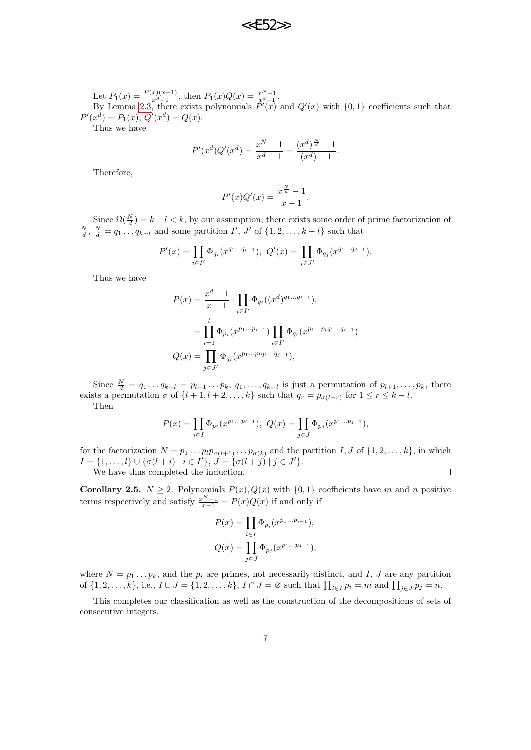

Let  $P_1(x) = \frac{P(x)(x-1)}{x^d-1}$ , then  $P_1(x)Q(x) = \frac{x^N-1}{x^d-1}$ . By Lemma [2.3,](#page-4-1) there exists polynomials  $\tilde{P}'(x)$  and  $Q'(x)$  with  $\{0,1\}$  coefficients such that  $P'(x^d) = P_1(x), Q'(x^d) = Q(x).$ 

Thus we have

$$
P'(x^{d})Q'(x^{d}) = \frac{x^{N} - 1}{x^{d} - 1} = \frac{(x^{d})^{\frac{N}{d}} - 1}{(x^{d}) - 1}.
$$

Therefore,

$$
P'(x)Q'(x) = \frac{x^{\frac{N}{d}} - 1}{x - 1}.
$$

Since  $\Omega(\frac{N}{d}) = k - l < k$ , by our assumption, there exists some order of prime factorization of  $\frac{N}{d}$ ,  $\frac{N}{d} = q_1 \dots q_{k-l}$  and some partition *I*<sup>'</sup>, *J*<sup>'</sup> of {1, 2, . . . , k − *l*} such that

$$
P'(x) = \prod_{i \in I'} \Phi_{q_i}(x^{q_1 \dots q_{i-1}}), \ Q'(x) = \prod_{j \in J'} \Phi_{q_j}(x^{q_1 \dots q_{j-1}}),
$$

Thus we have

$$
P(x) = \frac{x^d - 1}{x - 1} \cdot \prod_{i \in I'} \Phi_{q_i}((x^d)^{q_1 \dots q_{i-1}}),
$$
  
= 
$$
\prod_{i=1}^l \Phi_{p_i}(x^{p_1 \dots p_{i-1}}) \prod_{i \in I'} \Phi_{q_i}(x^{p_1 \dots p_l q_1 \dots q_{i-1}})
$$
  

$$
Q(x) = \prod_{j \in J'} \Phi_{q_i}(x^{p_1 \dots p_l q_1 \dots q_{j-1}}),
$$

Since  $\frac{N}{d} = q_1 \dots q_{k-l} = p_{l+1} \dots p_k$ ,  $q_1, \dots, q_{k-l}$  is just a permutation of  $p_{l+1}, \dots, p_k$ , there exists a permutation  $\sigma$  of  $\{l + 1, l + 2, \ldots, k\}$  such that  $q_r = p_{\sigma(l+r)}$  for  $1 \leq r \leq k - l$ . Then

$$
P(x) = \prod_{i \in I} \Phi_{p_i}(x^{p_1...p_{i-1}}), \ Q(x) = \prod_{j \in J} \Phi_{p_j}(x^{p_1...p_{j-1}}),
$$

for the factorization  $N = p_1 \dots p_l p_{\sigma(l+1)} \dots p_{\sigma(k)}$  and the partition *I*, *J* of  $\{1, 2, \dots, k\}$ , in which  $I = \{1, \ldots, l\} \cup \{\sigma(l + i) \mid i \in I'\}, \ J = \{\sigma(l + j) \mid j \in J'\}.$  $\Box$ 

We have thus completed the induction.

<span id="page-6-0"></span>**Corollary 2.5.**  $N \geq 2$ . Polynomials  $P(x)$ ,  $Q(x)$  with  $\{0,1\}$  coefficients have *m* and *n* positive terms respectively and satisfy  $\frac{x^N - 1}{x - 1} = P(x)Q(x)$  if and only if

$$
P(x) = \prod_{i \in I} \Phi_{p_i}(x^{p_1 \dots p_{i-1}}),
$$
  

$$
Q(x) = \prod_{j \in J} \Phi_{p_j}(x^{p_1 \dots p_{j-1}}),
$$

where  $N = p_1 \ldots p_k$ , and the  $p_i$  are primes, not necessarily distinct, and *I*, *J* are any partition of  $\{1,2,\ldots,k\}$ , i.e.,  $I \cup J = \{1,2,\ldots,k\}$ ,  $I \cap J = \emptyset$  such that  $\prod_{i \in I} p_i = m$  and  $\prod_{j \in J} p_j = n$ .

This completes our classification as well as the construction of the decompositions of sets of consecutive integers.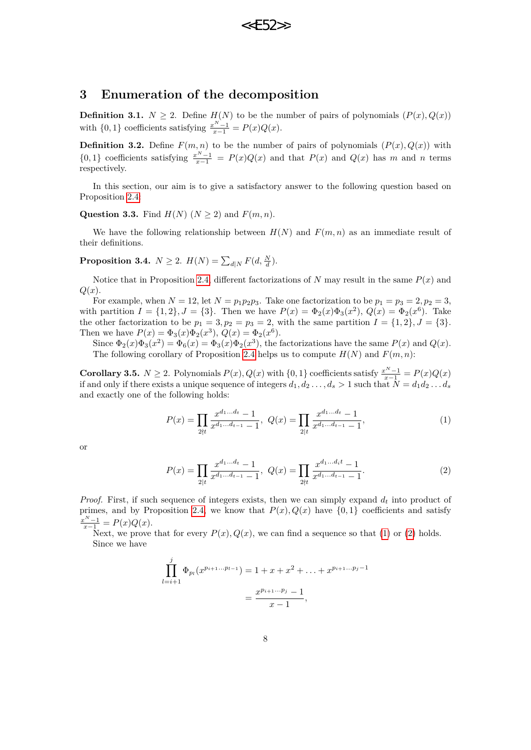

### **3 Enumeration of the decomposition**

**Definition 3.1.**  $N \geq 2$ . Define  $H(N)$  to be the number of pairs of polynomials  $(P(x), Q(x))$ with  $\{0, 1\}$  coefficients satisfying  $\frac{x^N - 1}{x - 1} = P(x)Q(x)$ .

**Definition 3.2.** Define  $F(m, n)$  to be the number of pairs of polynomials  $(P(x), Q(x))$  with {0,1} coefficients satisfying  $\frac{x^{N}-1}{x-1} = P(x)Q(x)$  and that  $P(x)$  and  $Q(x)$  has *m* and *n* terms respectively.

In this section, our aim is to give a satisfactory answer to the following question based on Proposition [2.4:](#page-4-0)

**Question 3.3.** Find  $H(N)$  ( $N \geq 2$ ) and  $F(m, n)$ .

We have the following relationship between  $H(N)$  and  $F(m, n)$  as an immediate result of their definitions.

**Proposition 3.4.**  $N \geq 2$ .  $H(N) = \sum_{d|N} F(d, \frac{N}{d})$ .

*j*

Notice that in Proposition [2.4,](#page-4-0) different factorizations of *N* may result in the same  $P(x)$  and *Q*(*x*).

For example, when  $N = 12$ , let  $N = p_1p_2p_3$ . Take one factorization to be  $p_1 = p_3 = 2, p_2 = 3$ , with partition  $I = \{1, 2\}, J = \{3\}.$  Then we have  $P(x) = \Phi_2(x)\Phi_3(x^2), Q(x) = \Phi_2(x^6)$ . Take the other factorization to be  $p_1 = 3$ ,  $p_2 = p_3 = 2$ , with the same partition  $I = \{1, 2\}$ ,  $J = \{3\}$ . Then we have  $P(x) = \Phi_3(x)\Phi_2(x^3), Q(x) = \Phi_2(x^6)$ .

Since  $\Phi_2(x)\Phi_3(x^2) = \Phi_6(x) = \Phi_3(x)\Phi_2(x^3)$ , the factorizations have the same  $P(x)$  and  $Q(x)$ . The following corollary of Proposition [2.4](#page-4-0) helps us to compute  $H(N)$  and  $F(m, n)$ :

<span id="page-7-2"></span>**Corollary 3.5.**  $N \geq 2$ . Polynomials  $P(x)$ ,  $Q(x)$  with  $\{0, 1\}$  coefficients satisfy  $\frac{x^N - 1}{x - 1} = P(x)Q(x)$ if and only if there exists a unique sequence of integers  $d_1, d_2, \ldots, d_s > 1$  such that  $N = d_1 d_2 \ldots d_s$ and exactly one of the following holds:

<span id="page-7-0"></span>
$$
P(x) = \prod_{2 \nmid t} \frac{x^{d_1 \dots d_t} - 1}{x^{d_1 \dots d_{t-1}} - 1}, \ Q(x) = \prod_{2 \mid t} \frac{x^{d_1 \dots d_t} - 1}{x^{d_1 \dots d_{t-1}} - 1}, \tag{1}
$$

or

<span id="page-7-1"></span>
$$
P(x) = \prod_{2 \mid t} \frac{x^{d_1 \dots d_t} - 1}{x^{d_1 \dots d_{t-1}} - 1}, \ Q(x) = \prod_{2 \nmid t} \frac{x^{d_1 \dots d_t t} - 1}{x^{d_1 \dots d_{t-1}} - 1}.
$$
 (2)

*Proof.* First, if such sequence of integers exists, then we can simply expand *d<sup>t</sup>* into product of primes, and by Proposition [2.4,](#page-4-0) we know that  $P(x)$ ,  $Q(x)$  have  $\{0,1\}$  coefficients and satisfy  $\frac{x^N - 1}{x - 1} = P(x)Q(x).$ 

Next, we prove that for every  $P(x)$ ,  $Q(x)$ , we can find a sequence so that [\(1\)](#page-7-0) or [\(2\)](#page-7-1) holds. Since we have

$$
\prod_{l=i+1}^{j} \Phi_{p_l}(x^{p_{i+1}...p_{l-1}}) = 1 + x + x^2 + \dots + x^{p_{i+1}...p_j-1}
$$

$$
= \frac{x^{p_{i+1}...p_j} - 1}{x - 1},
$$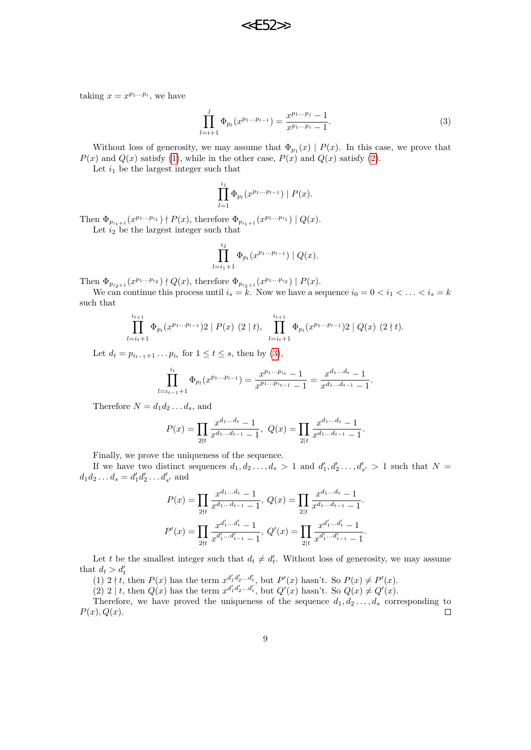taking  $x = x^{p_1...p_i}$ , we have

$$
\prod_{l=i+1}^{j} \Phi_{p_l}(x^{p_1...p_{l-1}}) = \frac{x^{p_1...p_j} - 1}{x^{p_1...p_i} - 1}.
$$
 (3)

Without loss of generosity, we may assume that  $\Phi_{p_1}(x) | P(x)$ . In this case, we prove that  $P(x)$  and  $Q(x)$  satisfy [\(1\)](#page-7-0), while in the other case,  $P(x)$  and  $Q(x)$  satisfy [\(2\)](#page-7-1).

Let  $i_1$  be the largest integer such that

<span id="page-8-0"></span>
$$
\prod_{l=1}^{i_1} \Phi_{p_l}(x^{p_1...p_{l-1}}) | P(x).
$$

Then  $\Phi_{p_{i_1+1}}(x^{p_1...p_{i_1}}) \nmid P(x)$ , therefore  $\Phi_{p_{i_1+1}}(x^{p_1...p_{i_1}}) \mid Q(x)$ . Let  $i_2$  be the largest integer such that

$$
\prod_{l=i_1+1}^{i_2} \Phi_{p_l}(x^{p_1...p_{l-1}}) | Q(x).
$$

Then  $\Phi_{p_{i_2+1}}(x^{p_1...p_{i_2}}) \nmid Q(x)$ , therefore  $\Phi_{p_{i_2+1}}(x^{p_1...p_{i_2}}) \mid P(x)$ .

We can continue this process until  $i_s = \tilde{k}$ . Now we have a sequence  $i_0 = 0 < i_1 < \ldots < i_s = k$ such that

$$
\prod_{l=i_t+1}^{i_{t+1}} \Phi_{p_l}(x^{p_1...p_{l-1}}) 2 \mid P(x) \ (2 \mid t), \ \prod_{l=i_t+1}^{i_{t+1}} \Phi_{p_l}(x^{p_1...p_{l-1}}) 2 \mid Q(x) \ (2 \nmid t).
$$

Let  $d_t = p_{i_{t-1}+1} \dots p_{i_t}$  for  $1 \le t \le s$ , then by [\(3\)](#page-8-0),

$$
\prod_{l=i_{t-1}+1}^{i_t} \Phi_{p_l}(x^{p_1...p_{l-1}}) = \frac{x^{p_1...p_{i_t}} - 1}{x^{p_1...p_{i_{t-1}}} - 1} = \frac{x^{d_1...d_t} - 1}{x^{d_1...d_{t-1}} - 1}.
$$

Therefore  $N = d_1 d_2 \ldots d_s$ , and

$$
P(x) = \prod_{2 \nmid t} \frac{x^{d_1 \dots d_t} - 1}{x^{d_1 \dots d_{t-1}} - 1}, \ Q(x) = \prod_{2 \mid t} \frac{x^{d_1 \dots d_t} - 1}{x^{d_1 \dots d_{t-1}} - 1}.
$$

Finally, we prove the uniqueness of the sequence.

If we have two distinct sequences  $d_1, d_2, \ldots, d_s > 1$  and  $d'_1, d'_2, \ldots, d'_{s'} > 1$  such that  $N =$  $d_1 d_2 \dots d_s = d'_1 d'_2 \dots d'_{s'}$  and

$$
P(x) = \prod_{2 \nmid t} \frac{x^{d_1 \dots d_t} - 1}{x^{d_1 \dots d_{t-1}} - 1}, \ Q(x) = \prod_{2 \mid t} \frac{x^{d_1 \dots d_t} - 1}{x^{d_1 \dots d_{t-1}} - 1}.
$$

$$
P'(x) = \prod_{2 \nmid t} \frac{x^{d'_1 \dots d'_t} - 1}{x^{d'_1 \dots d'_{t-1}} - 1}, \ Q'(x) = \prod_{2 \mid t} \frac{x^{d'_1 \dots d'_t} - 1}{x^{d'_1 \dots d'_{t-1}} - 1}.
$$

Let *t* be the smallest integer such that  $d_t \neq d'_t$ . Without loss of generosity, we may assume that  $d_t > d'_t$ 

(1)  $2 \nmid t$ , then  $P(x)$  has the term  $x^{d'_1 d'_2 ... d'_t}$ , but  $P'(x)$  hasn't. So  $P(x) \neq P'(x)$ .

(2) 2 | *t*, then  $Q(x)$  has the term  $x^{d'_1 d'_2 ... d'_t}$ , but  $Q'(x)$  hasn't. So  $Q(x) \neq Q'(x)$ .

Therefore, we have proved the uniqueness of the sequence  $d_1, d_2, \ldots, d_s$  corresponding to *P*(*x*)*, Q*(*x*).  $\Box$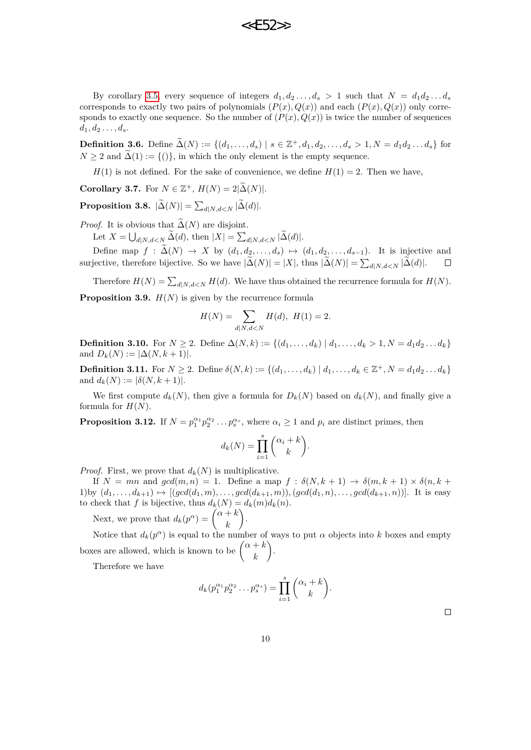**22F52** 

By corollary [3.5,](#page-7-2) every sequence of integers  $d_1, d_2, \ldots, d_s > 1$  such that  $N = d_1 d_2 \ldots d_s$ corresponds to exactly two pairs of polynomials  $(P(x), Q(x))$  and each  $(P(x), Q(x))$  only corresponds to exactly one sequence. So the number of  $(P(x), Q(x))$  is twice the number of sequences  $d_1, d_2, \ldots, d_s.$ 

<span id="page-9-0"></span>**Definition 3.6.** Define  $\widetilde{\Delta}(N) := \{(d_1, \ldots, d_s) \mid s \in \mathbb{Z}^+, d_1, d_2, \ldots, d_s > 1, N = d_1 d_2 \ldots d_s\}$  for  $N \geq 2$  and  $\Delta(1) := \{()\}$ , in which the only element is the empty sequence.

 $H(1)$  is not defined. For the sake of convenience, we define  $H(1) = 2$ . Then we have,

<span id="page-9-2"></span>**Corollary 3.7.** For  $N \in \mathbb{Z}^+$ ,  $H(N) = 2|\widetilde{\Delta}(N)|$ .

**Proposition 3.8.**  $|\Delta(N)| = \sum_{d|N,d.$ 

*Proof.* It is obvious that  $\tilde{\Delta}(N)$  are disjoint.

Let  $X = \bigcup_{d|N,d\leq N} \Delta(d)$ , then  $|X| = \sum_{d|N,d\leq N} |\Delta(d)|$ .

Define map *f* :  $\widetilde{\Delta}(N)$  → *X* by  $(d_1, d_2, ..., d_s)$  →  $(d_1, d_2, ..., d_{s-1})$ . It is injective and jective, therefore bijective. So we have  $|\widetilde{\Delta}(N)| = |X|$ , thus  $|\widetilde{\Delta}(N)| = \sum_{d|N} \sum_{i \in N} |\widetilde{\Delta}(d)|$ . □ surjective, therefore bijective. So we have  $|\Delta(N)| = |X|$ , thus  $|\Delta(N)| = \sum_{d|N, d \le N} |\Delta(d)|$ .

Therefore  $H(N) = \sum_{d \mid N, d < N} H(d)$ . We have thus obtained the recurrence formula for  $H(N)$ .

**Proposition 3.9.**  $H(N)$  is given by the recurrence formula

$$
H(N) = \sum_{d|N,d
$$

<span id="page-9-1"></span>**Definition 3.10.** For *N* ≥ 2. Define  $\Delta(N,k) := \{(d_1, \ldots, d_k) | d_1, \ldots, d_k > 1, N = d_1 d_2 \ldots d_k\}$ and  $D_k(N) := |\Delta(N, k+1)|$ .

**Definition 3.11.** For  $N \ge 2$ . Define  $\delta(N, k) := \{(d_1, \ldots, d_k) \mid d_1, \ldots, d_k \in \mathbb{Z}^+, N = d_1 d_2 \ldots d_k\}$ and  $d_k(N) := |\delta(N, k+1)|$ .

We first compute  $d_k(N)$ , then give a formula for  $D_k(N)$  based on  $d_k(N)$ , and finally give a formula for  $H(N)$ .

<span id="page-9-3"></span>**Proposition 3.12.** If  $N = p_1^{\alpha_1} p_2^{\alpha_2} \dots p_s^{\alpha_s}$ , where  $\alpha_i \ge 1$  and  $p_i$  are distinct primes, then

$$
d_k(N) = \prod_{i=1}^s \binom{\alpha_i + k}{k}.
$$

*Proof.* First, we prove that  $d_k(N)$  is multiplicative.

If  $N = mn$  and  $gcd(m, n) = 1$ . Define a map  $f : \delta(N, k + 1) \to \delta(m, k + 1) \times \delta(n, k + 1)$ 1)by  $(d_1, ..., d_{k+1}) \mapsto [(gcd(d_1, m), ..., gcd(d_{k+1}, m)), (gcd(d_1, n), ..., gcd(d_{k+1}, n))].$  It is easy to check that *f* is bijective, thus  $d_k(N) = d_k(m)d_k(n)$ .

Next, we prove that  $d_k(p^{\alpha}) = \begin{pmatrix} \alpha + k \\ k \end{pmatrix}$ *k* .

Notice that  $d_k(p^{\alpha})$  is equal to the number of ways to put  $\alpha$  objects into k boxes and empty boxes are allowed, which is known to be  $\begin{pmatrix} \alpha + k & -k \\ k & -k \end{pmatrix}$ *k* .

Therefore we have

$$
d_k(p_1^{\alpha_1}p_2^{\alpha_2}\dots p_s^{\alpha_s}) = \prod_{i=1}^s {\alpha_i + k \choose k}.
$$

 $\Box$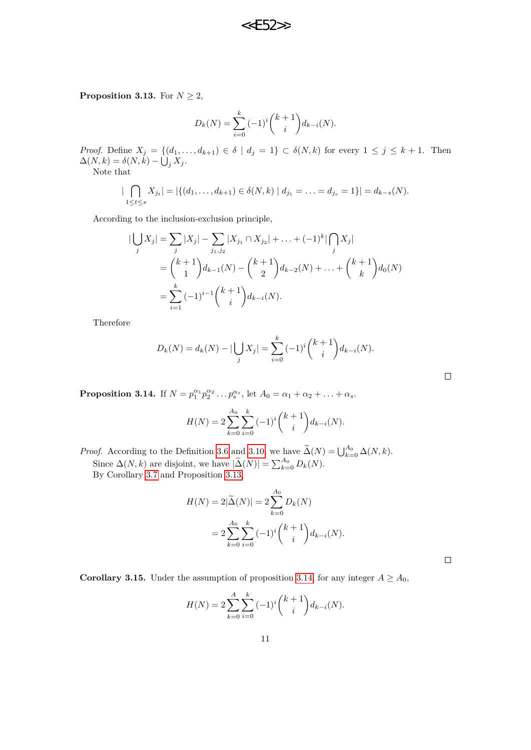$<<$  $F52$ 

<span id="page-10-0"></span>**Proposition 3.13.** For  $N \geq 2$ ,

$$
D_k(N) = \sum_{i=0}^k (-1)^i {k+1 \choose i} d_{k-i}(N).
$$

*Proof.* Define  $X_j = \{(d_1, \ldots, d_{k+1}) \in \delta \mid d_j = 1\} \subset \delta(N, k)$  for every  $1 \leq j \leq k+1$ . Then  $\Delta(N,k) = \delta(N,k) - \bigcup_j X_j$ .

Note that

$$
|\bigcap_{1 \leq t \leq s} X_{j_t}| = |\{(d_1, \ldots, d_{k+1}) \in \delta(N, k) \mid d_{j_1} = \ldots = d_{j_s} = 1\}| = d_{k-s}(N).
$$

According to the inclusion-exclusion principle,

$$
\begin{aligned} |\bigcup_j X_j| &= \sum_j |X_j| - \sum_{j_1, j_2} |X_{j_1} \cap X_{j_2}| + \ldots + (-1)^k |\bigcap_j X_j| \\ &= \binom{k+1}{1} d_{k-1}(N) - \binom{k+1}{2} d_{k-2}(N) + \ldots + \binom{k+1}{k} d_0(N) \\ &= \sum_{i=1}^k (-1)^{i-1} \binom{k+1}{i} d_{k-i}(N). \end{aligned}
$$

Therefore

$$
D_k(N) = d_k(N) - |\bigcup_j X_j| = \sum_{i=0}^k (-1)^i {k+1 \choose i} d_{k-i}(N).
$$

<span id="page-10-1"></span>**Proposition 3.14.** If  $N = p_1^{\alpha_1} p_2^{\alpha_2} \dots p_s^{\alpha_s}$ , let  $A_0 = \alpha_1 + \alpha_2 + \dots + \alpha_s$ .

$$
H(N) = 2\sum_{k=0}^{A_0} \sum_{i=0}^k (-1)^i {k+1 \choose i} d_{k-i}(N).
$$

*Proof.* According to the Definition [3.6](#page-9-0) and [3.10,](#page-9-1) we have  $\widetilde{\Delta}(N) = \bigcup_{k=0}^{A_0} \Delta(N, k)$ . Since  $\Delta(N, k)$  are disjoint, we have  $|\widetilde{\Delta}(N)| = \sum_{k=0}^{A_0} D_k(N)$ . By Corollary [3.7](#page-9-2) and Proposition [3.13,](#page-10-0)

$$
H(N) = 2|\tilde{\Delta}(N)| = 2\sum_{k=0}^{A_0} D_k(N)
$$
  
=  $2\sum_{k=0}^{A_0} \sum_{i=0}^k (-1)^i {k+1 \choose i} d_{k-i}(N).$ 

 $\Box$ 

 $\Box$ 

**Corollary 3.15.** Under the assumption of proposition [3.14,](#page-10-1) for any integer  $A \geq A_0$ ,

$$
H(N) = 2\sum_{k=0}^{A} \sum_{i=0}^{k} (-1)^{i} {k+1 \choose i} d_{k-i}(N).
$$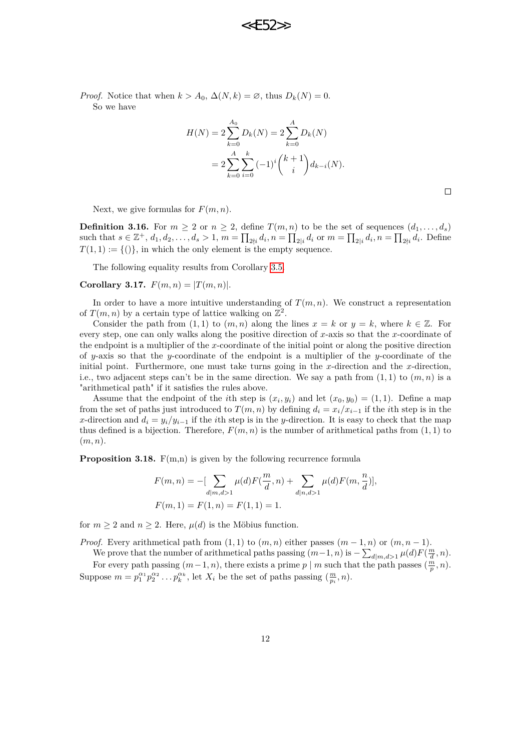*Proof.* Notice that when  $k > A_0$ ,  $\Delta(N, k) = \emptyset$ , thus  $D_k(N) = 0$ . So we have

$$
H(N) = 2\sum_{k=0}^{A_0} D_k(N) = 2\sum_{k=0}^{A} D_k(N)
$$
  
= 
$$
2\sum_{k=0}^{A} \sum_{i=0}^{k} (-1)^i {k+1 \choose i} d_{k-i}(N).
$$

 $\Box$ 

Next, we give formulas for  $F(m, n)$ .

**Definition 3.16.** For  $m \geq 2$  or  $n \geq 2$ , define  $T(m, n)$  to be the set of sequences  $(d_1, \ldots, d_s)$ such that  $s \in \mathbb{Z}^+, d_1, d_2, \ldots, d_s > 1, m = \prod_{2 \nmid i} d_i, n = \prod_{2 \mid i} d_i$  or  $m = \prod_{2 \mid i} d_i, n = \prod_{2 \nmid i} d_i$ . Define  $T(1,1) := \{()\}$ , in which the only element is the empty sequence.

The following equality results from Corollary [3.5.](#page-7-2)

**Corollary 3.17.**  $F(m, n) = |T(m, n)|$ .

In order to have a more intuitive understanding of  $T(m, n)$ . We construct a representation of  $T(m, n)$  by a certain type of lattice walking on  $\mathbb{Z}^2$ .

Consider the path from  $(1, 1)$  to  $(m, n)$  along the lines  $x = k$  or  $y = k$ , where  $k \in \mathbb{Z}$ . For every step, one can only walks along the positive direction of *x*-axis so that the *x*-coordinate of the endpoint is a multiplier of the *x*-coordinate of the initial point or along the positive direction of *y*-axis so that the *y*-coordinate of the endpoint is a multiplier of the *y*-coordinate of the initial point. Furthermore, one must take turns going in the *x*-direction and the *x*-direction, i.e., two adjacent steps can't be in the same direction. We say a path from  $(1, 1)$  to  $(m, n)$  is a "arithmetical path" if it satisfies the rules above.

Assume that the endpoint of the *i*th step is  $(x_i, y_i)$  and let  $(x_0, y_0) = (1, 1)$ . Define a map from the set of paths just introduced to  $T(m, n)$  by defining  $d_i = x_i/x_{i-1}$  if the *i*th step is in the *x*-direction and  $d_i = y_i/y_{i-1}$  if the *i*th step is in the *y*-direction. It is easy to check that the map thus defined is a bijection. Therefore,  $F(m, n)$  is the number of arithmetical paths from  $(1, 1)$  to (*m, n*).

<span id="page-11-0"></span>**Proposition 3.18.**  $F(m,n)$  is given by the following recurrence formula

$$
F(m, n) = -[\sum_{d|m, d>1} \mu(d) F(\frac{m}{d}, n) + \sum_{d|n, d>1} \mu(d) F(m, \frac{n}{d})],
$$
  

$$
F(m, 1) = F(1, n) = F(1, 1) = 1.
$$

for  $m \geq 2$  and  $n \geq 2$ . Here,  $\mu(d)$  is the Möbius function.

*Proof.* Every arithmetical path from  $(1, 1)$  to  $(m, n)$  either passes  $(m - 1, n)$  or  $(m, n - 1)$ .

We prove that the number of arithmetical paths passing 
$$
(m-1, n)
$$
 is  $-\sum_{d|m,d>1} \mu(d) F(\frac{m}{d},n)$ .

For every path passing  $(m-1, n)$ , there exists a prime *p* | *m* such that the path passes  $(\frac{m}{p}, n)$ . Suppose  $m = p_1^{\alpha_1} p_2^{\alpha_2} \dots p_k^{\alpha_k}$ , let  $X_i$  be the set of paths passing  $(\frac{m}{p_i}, n)$ .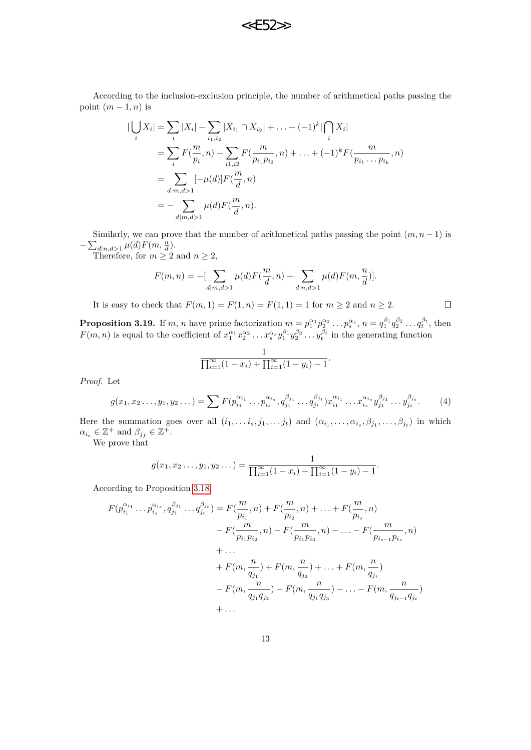According to the inclusion-exclusion principle, the number of arithmetical paths passing the point  $(m-1, n)$  is

$$
\begin{split} |\bigcup_{i} X_{i}| &= \sum_{i} |X_{i}| - \sum_{i_{1},i_{2}} |X_{i_{1}} \cap X_{i_{2}}| + \ldots + (-1)^{k} |\bigcap_{i} X_{i}| \\ &= \sum_{i} F(\frac{m}{p_{i}}, n) - \sum_{i_{1},i_{2}} F(\frac{m}{p_{i_{1}}p_{i_{2}}}, n) + \ldots + (-1)^{k} F(\frac{m}{p_{i_{1}} \ldots p_{i_{k}}}, n) \\ &= \sum_{d|m,d>1} [-\mu(d)] F(\frac{m}{d}, n) \\ &= - \sum_{d|m,d>1} \mu(d) F(\frac{m}{d}, n). \end{split}
$$

Similarly, we can prove that the number of arithmetical paths passing the point  $(m, n-1)$  is  $-\sum_{d|n,d>1} \mu(d) F(m, \frac{n}{d}).$ 

Therefore, for  $m \geq 2$  and  $n \geq 2$ ,

$$
F(m,n) = -[\sum_{d|m,d>1} \mu(d) F(\frac{m}{d},n) + \sum_{d|n,d>1} \mu(d) F(m,\frac{n}{d})].
$$

<span id="page-12-0"></span> $\Box$ 

It is easy to check that  $F(m, 1) = F(1, n) = F(1, 1) = 1$  for  $m \ge 2$  and  $n \ge 2$ .

<span id="page-12-1"></span>**Proposition 3.19.** If m, n have prime factorization  $m = p_1^{\alpha_1} p_2^{\alpha_2} \dots p_s^{\alpha_s}$ ,  $n = q_1^{\beta_1} q_2^{\beta_2} \dots q_t^{\beta_t}$ , then  $F(m, n)$  is equal to the coefficient of  $x_1^{\alpha_1} x_2^{\alpha_2} \dots x_s^{\alpha_s} y_1^{\beta_1} y_2^{\beta_2} \dots y_t^{\beta_t}$  in the generating function

$$
\frac{1}{\prod_{i=1}^{\infty}(1-x_i)+\prod_{i=1}^{\infty}(1-y_i)-1}.
$$

*Proof.* Let

$$
g(x_1, x_2 \dots, y_1, y_2 \dots) = \sum F(p_{i_1}^{\alpha_{i_1}} \dots p_{i_s}^{\alpha_{i_s}}, q_{j_1}^{\beta_{j_1}} \dots q_{j_t}^{\beta_{j_t}}) x_{i_1}^{\alpha_{i_1}} \dots x_{i_s}^{\alpha_{i_s}} y_{j_1}^{\beta_{j_1}} \dots y_{j_t}^{\beta_{j_t}}.
$$
 (4)

Here the summation goes over all  $(i_1, \ldots i_s, j_1, \ldots j_t)$  and  $(\alpha_{i_1}, \ldots, \alpha_{i_s}, \beta_{j_1}, \ldots, \beta_{j_t})$  in which  $\alpha_{i_e} \in \mathbb{Z}^+$  and  $\beta_{j_f} \in \mathbb{Z}^+$ .

We prove that

$$
g(x_1, x_2 \ldots, y_1, y_2 \ldots) = \frac{1}{\prod_{i=1}^{\infty} (1 - x_i) + \prod_{i=1}^{\infty} (1 - y_i) - 1}.
$$

According to Proposition [3.18,](#page-11-0)

$$
F(p_{i_1}^{\alpha_{i_1}} \dots p_{i_s}^{\alpha_{i_s}}, q_{j_1}^{\beta_{j_1}} \dots q_{j_t}^{\beta_{j_t}}) = F(\frac{m}{p_{i_1}}, n) + F(\frac{m}{p_{i_2}}, n) + \dots + F(\frac{m}{p_{i_s}}, n)
$$
  
\n
$$
- F(\frac{m}{p_{i_1}p_{i_2}}, n) - F(\frac{m}{p_{i_1}p_{i_3}}, n) - \dots - F(\frac{m}{p_{i_{s-1}}p_{i_s}}, n)
$$
  
\n
$$
+ \dots
$$
  
\n
$$
+ F(m, \frac{n}{q_{j_1}}) + F(m, \frac{n}{q_{j_2}}) + \dots + F(m, \frac{n}{q_{j_t}})
$$
  
\n
$$
- F(m, \frac{n}{q_{j_1}q_{j_2}}) - F(m, \frac{n}{q_{j_1}q_{j_3}}) - \dots - F(m, \frac{n}{q_{j_{t-1}}q_{j_t}})
$$
  
\n
$$
+ \dots
$$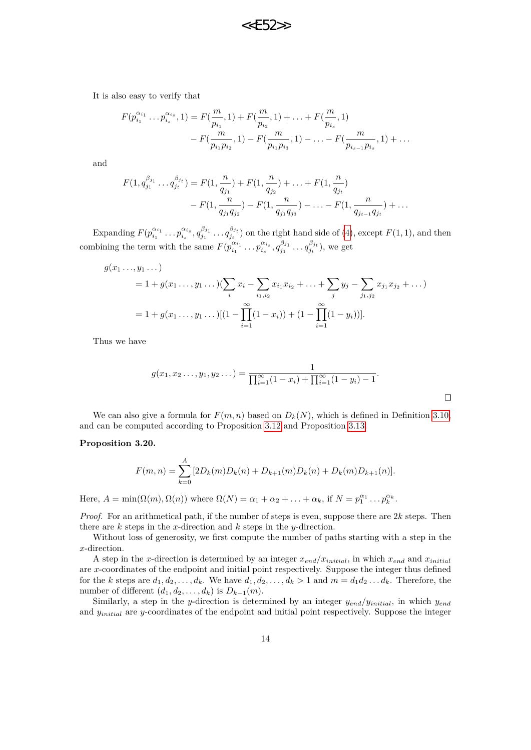It is also easy to verify that

$$
F(p_{i_1}^{\alpha_{i_1}} \dots p_{i_s}^{\alpha_{i_s}}, 1) = F(\frac{m}{p_{i_1}}, 1) + F(\frac{m}{p_{i_2}}, 1) + \dots + F(\frac{m}{p_{i_s}}, 1) - F(\frac{m}{p_{i_1}p_{i_2}}, 1) - F(\frac{m}{p_{i_1}p_{i_3}}, 1) - \dots - F(\frac{m}{p_{i_{s-1}}p_{i_s}}, 1) + \dots
$$

and

$$
F(1, q_{j_1}^{\beta_{j_1}} \dots q_{j_t}^{\beta_{j_t}}) = F(1, \frac{n}{q_{j_1}}) + F(1, \frac{n}{q_{j_2}}) + \dots + F(1, \frac{n}{q_{j_t}})
$$
  

$$
- F(1, \frac{n}{q_{j_1}q_{j_2}}) - F(1, \frac{n}{q_{j_1}q_{j_3}}) - \dots - F(1, \frac{n}{q_{j_{t-1}}q_{j_t}}) + \dots
$$

Expanding  $F(p_{i_1}^{\alpha_{i_1}} \dots p_{i_s}^{\alpha_{i_s}}, q_{j_1}^{\beta_{j_1}} \dots q_{j_t}^{\beta_{j_t}})$  on the right hand side of [\(4\)](#page-12-0), except  $F(1,1)$ , and then combining the term with the same  $F(p_{i_1}^{\alpha_{i_1}} \dots p_{i_s}^{\alpha_{i_s}}, q_{j_1}^{\beta_{j_1}} \dots q_{j_t}^{\beta_{j_t}})$ , we get

$$
g(x_1 \ldots, y_1 \ldots)
$$
  
= 1 + g(x\_1 \ldots, y\_1 \ldots)(\sum\_i x\_i - \sum\_{i\_1, i\_2} x\_{i\_1} x\_{i\_2} + \ldots + \sum\_j y\_j - \sum\_{j\_1, j\_2} x\_{j\_1} x\_{j\_2} + \ldots)  
= 1 + g(x\_1 \ldots, y\_1 \ldots)[(1 - \prod\_{i=1}^{\infty} (1 - x\_i)) + (1 - \prod\_{i=1}^{\infty} (1 - y\_i))].

Thus we have

$$
g(x_1, x_2 \dots, y_1, y_2 \dots) = \frac{1}{\prod_{i=1}^{\infty} (1 - x_i) + \prod_{i=1}^{\infty} (1 - y_i) - 1}.
$$

We can also give a formula for  $F(m, n)$  based on  $D_k(N)$ , which is defined in Definition [3.10,](#page-9-1) and can be computed according to Proposition [3.12](#page-9-3) and Proposition [3.13.](#page-10-0)

#### <span id="page-13-0"></span>**Proposition 3.20.**

$$
F(m,n) = \sum_{k=0}^{A} [2D_k(m)D_k(n) + D_{k+1}(m)D_k(n) + D_k(m)D_{k+1}(n)].
$$

Here,  $A = \min(\Omega(m), \Omega(n))$  where  $\Omega(N) = \alpha_1 + \alpha_2 + \ldots + \alpha_k$ , if  $N = p_1^{\alpha_1} \ldots p_k^{\alpha_k}$ .

*Proof.* For an arithmetical path, if the number of steps is even, suppose there are  $2k$  steps. Then there are *k* steps in the *x*-direction and *k* steps in the *y*-direction.

Without loss of generosity, we first compute the number of paths starting with a step in the *x*-direction.

A step in the *x*-direction is determined by an integer  $x_{end}/x_{initial}$ , in which  $x_{end}$  and  $x_{initial}$ are *x*-coordinates of the endpoint and initial point respectively. Suppose the integer thus defined for the *k* steps are  $d_1, d_2, \ldots, d_k$ . We have  $d_1, d_2, \ldots, d_k > 1$  and  $m = d_1 d_2 \ldots d_k$ . Therefore, the number of different  $(d_1, d_2, \ldots, d_k)$  is  $D_{k-1}(m)$ .

Similarly, a step in the *y*-direction is determined by an integer *yend/yinitial*, in which *yend* and *yinitial* are *y*-coordinates of the endpoint and initial point respectively. Suppose the integer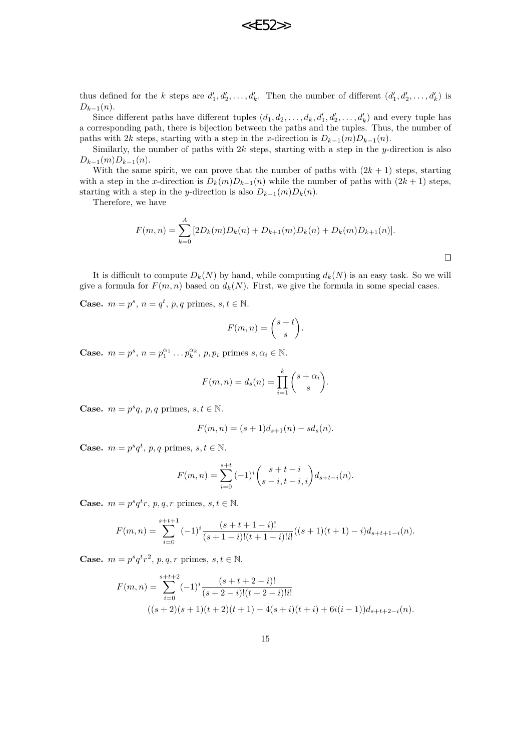thus defined for the *k* steps are  $d'_1, d'_2, \ldots, d'_k$ . Then the number of different  $(d'_1, d'_2, \ldots, d'_k)$  is  $D_{k-1}(n)$ .

Since different paths have different tuples  $(d_1, d_2, \ldots, d_k, d'_1, d'_2, \ldots, d'_k)$  and every tuple has a corresponding path, there is bijection between the paths and the tuples. Thus, the number of paths with 2*k* steps, starting with a step in the *x*-direction is  $D_{k-1}(m)D_{k-1}(n)$ .

Similarly, the number of paths with 2*k* steps, starting with a step in the *y*-direction is also  $D_{k-1}(m)D_{k-1}(n)$ .

With the same spirit, we can prove that the number of paths with  $(2k + 1)$  steps, starting with a step in the *x*-direction is  $D_k(m)D_{k-1}(n)$  while the number of paths with  $(2k+1)$  steps, starting with a step in the *y*-direction is also  $D_{k-1}(m)D_k(n)$ .

Therefore, we have

$$
F(m,n) = \sum_{k=0}^{A} [2D_k(m)D_k(n) + D_{k+1}(m)D_k(n) + D_k(m)D_{k+1}(n)].
$$

 $\Box$ 

It is difficult to compute  $D_k(N)$  by hand, while computing  $d_k(N)$  is an easy task. So we will give a formula for  $F(m, n)$  based on  $d_k(N)$ . First, we give the formula in some special cases.

**Case.**  $m = p^s$ ,  $n = q^t$ ,  $p, q$  primes,  $s, t \in \mathbb{N}$ .

$$
F(m,n) = \binom{s+t}{s}.
$$

**Case.**  $m = p^s$ ,  $n = p_1^{\alpha_1} \dots p_k^{\alpha_k}$ ,  $p, p_i$  primes  $s, \alpha_i \in \mathbb{N}$ .

$$
F(m, n) = d_s(n) = \prod_{i=1}^k {s + \alpha_i \choose s}.
$$

**Case.**  $m = p^s q$ ,  $p, q$  primes,  $s, t \in \mathbb{N}$ .

$$
F(m, n) = (s+1)d_{s+1}(n) - sd_s(n).
$$

**Case.**  $m = p^s q^t$ ,  $p, q$  primes,  $s, t \in \mathbb{N}$ .

$$
F(m,n) = \sum_{i=0}^{s+t} (-1)^i {s+t-i \choose s-i, t-i, i} d_{s+t-i}(n).
$$

**Case.**  $m = p^s q^t r$ ,  $p, q, r$  primes,  $s, t \in \mathbb{N}$ .

$$
F(m,n) = \sum_{i=0}^{s+t+1} (-1)^i \frac{(s+t+1-i)!}{(s+1-i)!(t+1-i)!i!}((s+1)(t+1)-i)d_{s+t+1-i}(n).
$$

**Case.**  $m = p^s q^t r^2$ ,  $p, q, r$  primes,  $s, t \in \mathbb{N}$ .

$$
F(m,n) = \sum_{i=0}^{s+t+2} (-1)^i \frac{(s+t+2-i)!}{(s+2-i)!(t+2-i)!i!}
$$
  

$$
((s+2)(s+1)(t+2)(t+1) - 4(s+i)(t+i) + 6i(i-1))d_{s+t+2-i}(n).
$$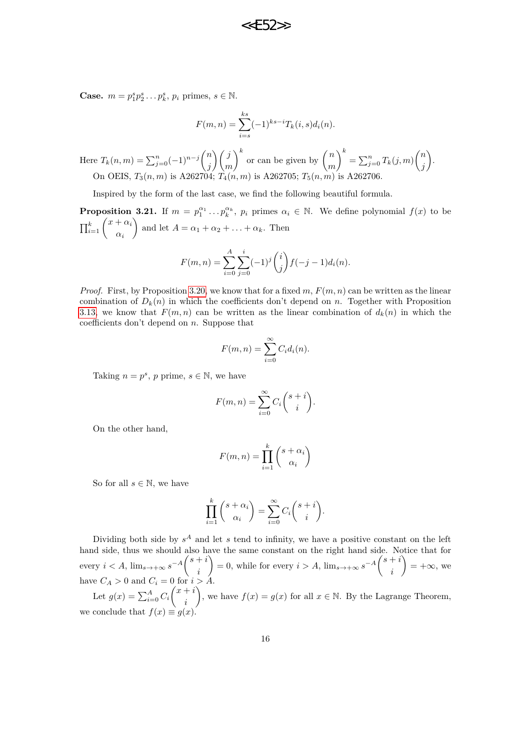**Case.**  $m = p_1^s p_2^s \dots p_k^s, p_i$  primes,  $s \in \mathbb{N}$ .

$$
F(m, n) = \sum_{i=s}^{ks} (-1)^{ks-i} T_k(i, s) d_i(n).
$$

Here  $T_k(n,m) = \sum_{j=0}^n (-1)^{n-j} \binom{n}{j}$ *j j m*  $\int_{0}^{k}$  or can be given by  $\int_{0}^{k}$ *m*  $\int_{0}^{k} = \sum_{j=0}^{n} T_{k}(j,m) \binom{n}{j}$ *j* `). On OEIS, *T*3(*n, m*) is A262704; *T*4(*n, m*) is A262705; *T*5(*n, m*) is A262706.

Inspired by the form of the last case, we find the following beautiful formula.

**Proposition 3.21.** If  $m = p_1^{\alpha_1} \dots p_k^{\alpha_k}$ ,  $p_i$  primes  $\alpha_i \in \mathbb{N}$ . We define polynomial  $f(x)$  to be  $\prod_{i=1}^k \binom{x+\alpha_i}{\alpha_i}$ *αi* and let  $A = \alpha_1 + \alpha_2 + \ldots + \alpha_k$ . Then

$$
F(m, n) = \sum_{i=0}^{A} \sum_{j=0}^{i} (-1)^{j} {i \choose j} f(-j-1)d_{i}(n).
$$

*Proof.* First, by Proposition [3.20,](#page-13-0) we know that for a fixed  $m$ ,  $F(m, n)$  can be written as the linear combination of  $D_k(n)$  in which the coefficients don't depend on *n*. Together with Proposition [3.13,](#page-10-0) we know that  $F(m, n)$  can be written as the linear combination of  $d_k(n)$  in which the coefficients don't depend on *n*. Suppose that

$$
F(m, n) = \sum_{i=0}^{\infty} C_i d_i(n).
$$

Taking  $n = p^s$ , p prime,  $s \in \mathbb{N}$ , we have

$$
F(m, n) = \sum_{i=0}^{\infty} C_i \binom{s+i}{i}.
$$

On the other hand,

$$
F(m, n) = \prod_{i=1}^{k} {s + \alpha_i \choose \alpha_i}
$$

So for all  $s \in \mathbb{N}$ , we have

$$
\prod_{i=1}^k {s + \alpha_i \choose \alpha_i} = \sum_{i=0}^\infty C_i {s + i \choose i}.
$$

Dividing both side by  $s^A$  and let  $s$  tend to infinity, we have a positive constant on the left hand side, thus we should also have the same constant on the right hand side. Notice that for every  $i < A$ ,  $\lim_{s \to +\infty} s^{-A} \binom{s+i}{s}$ *i*  $= 0$ , while for every  $i > A$ ,  $\lim_{s \to +\infty} s^{-A} \binom{s+i}{s}$ *i*  $\mathcal{L} = +\infty$ , we have  $C_A > 0$  and  $C_i = 0$  for  $i > A$ . ), we have  $f(x) = g(x)$  for all  $x \in \mathbb{N}$ . By the Lagrange Theorem,

Let  $g(x) = \sum_{i=0}^{A} C_i \binom{x+i}{i}$ *i* we conclude that  $f(x) \equiv g(x)$ .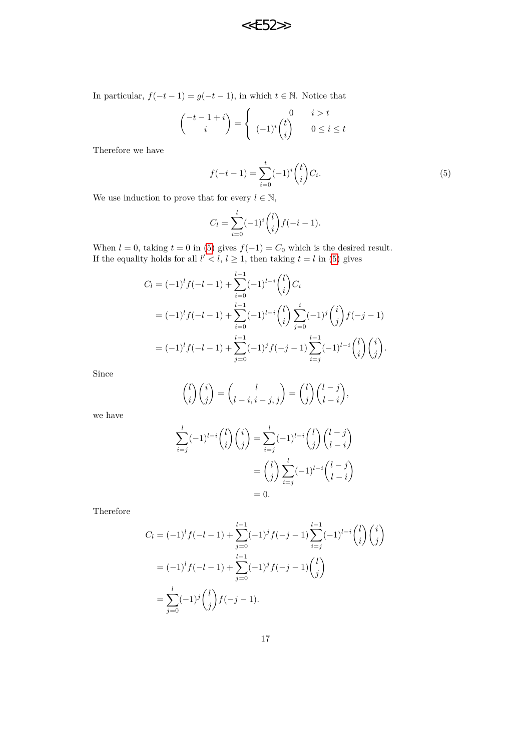In particular,  $f(-t-1) = g(-t-1)$ , in which  $t \in \mathbb{N}$ . Notice that

$$
\binom{-t-1+i}{i} = \begin{cases} 0 & i > t \\ (-1)^i \binom{t}{i} & 0 \le i \le t \end{cases}
$$

Therefore we have

<span id="page-16-0"></span>
$$
f(-t-1) = \sum_{i=0}^{t} (-1)^{i} {t \choose i} C_{i}.
$$
 (5)

We use induction to prove that for every  $l \in \mathbb{N}$ ,

$$
C_l = \sum_{i=0}^{l} (-1)^i \binom{l}{i} f(-i-1).
$$

When  $l = 0$ , taking  $t = 0$  in [\(5\)](#page-16-0) gives  $f(-1) = C_0$  which is the desired result. If the equality holds for all  $l' < l$ ,  $l \geq 1$ , then taking  $t = l$  in [\(5\)](#page-16-0) gives

$$
C_l = (-1)^l f(-l - 1) + \sum_{i=0}^{l-1} (-1)^{l-i} {l \choose i} C_i
$$
  
=  $(-1)^l f(-l - 1) + \sum_{i=0}^{l-1} (-1)^{l-i} {l \choose i} \sum_{j=0}^i (-1)^j {i \choose j} f(-j - 1)$   
=  $(-1)^l f(-l - 1) + \sum_{j=0}^{l-1} (-1)^j f(-j - 1) \sum_{i=j}^{l-1} (-1)^{l-i} {l \choose i} {i \choose j}.$ 

Since

$$
\binom{l}{i}\binom{i}{j} = \binom{l}{l-i, i-j, j} = \binom{l}{j}\binom{l-j}{l-i},
$$

we have

$$
\sum_{i=j}^{l}(-1)^{l-i}\binom{l}{i}\binom{i}{j} = \sum_{i=j}^{l}(-1)^{l-i}\binom{l}{j}\binom{l-j}{l-i}
$$

$$
=\binom{l}{j}\sum_{i=j}^{l}(-1)^{l-i}\binom{l-j}{l-i}
$$

$$
= 0.
$$

Therefore

$$
C_l = (-1)^l f(-l - 1) + \sum_{j=0}^{l-1} (-1)^j f(-j - 1) \sum_{i=j}^{l-1} (-1)^{l-i} {l \choose i} {i \choose j}
$$
  
=  $(-1)^l f(-l - 1) + \sum_{j=0}^{l-1} (-1)^j f(-j - 1) {l \choose j}$   
=  $\sum_{j=0}^{l} (-1)^j {l \choose j} f(-j - 1).$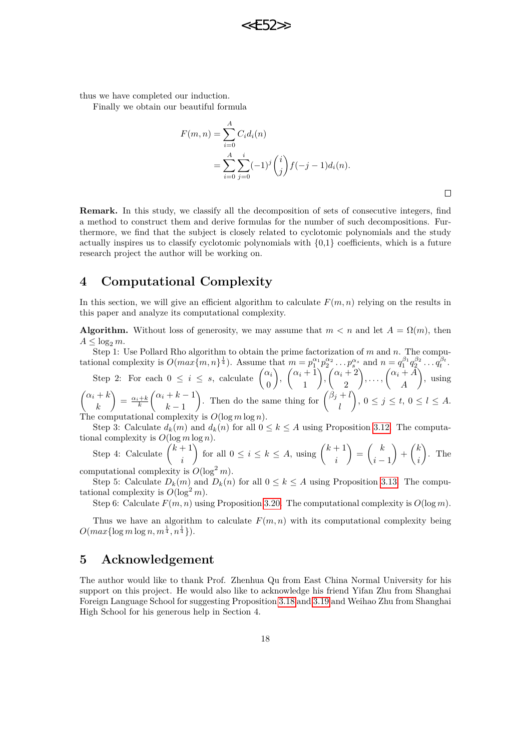thus we have completed our induction.

Finally we obtain our beautiful formula

$$
F(m, n) = \sum_{i=0}^{A} C_i d_i(n)
$$
  
= 
$$
\sum_{i=0}^{A} \sum_{j=0}^{i} (-1)^j {i \choose j} f(-j-1) d_i(n).
$$

**22F52** 

 $\Box$ 

**Remark.** In this study, we classify all the decomposition of sets of consecutive integers, find a method to construct them and derive formulas for the number of such decompositions. Furthermore, we find that the subject is closely related to cyclotomic polynomials and the study actually inspires us to classify cyclotomic polynomials with {0,1} coefficients, which is a future research project the author will be working on.

# **4 Computational Complexity**

In this section, we will give an efficient algorithm to calculate  $F(m, n)$  relying on the results in this paper and analyze its computational complexity.

**Algorithm.** Without loss of generosity, we may assume that  $m < n$  and let  $A = \Omega(m)$ , then  $A \leq \log_2 m$ .

Step 1: Use Pollard Rho algorithm to obtain the prime factorization of *m* and *n*. The computational complexity is  $O(max\{m,n\}^{\frac{1}{4}})$ . Assume that  $m = p_1^{\alpha_1}p_2^{\alpha_2} \dots p_s^{\alpha_s}$  and  $n = q_1^{\beta_1}q_2^{\beta_2} \dots q_t^{\beta_t}$ .

Step 2: For each  $0 \leq i \leq s$ , calculate  $\begin{pmatrix} \alpha_i & \alpha_{i-1} \\ \alpha_i & \alpha_{i-1} \end{pmatrix}$  $\overline{0}$  $\binom{\alpha_i+1}{1}$ 1  $\int$ ,  $\left(\frac{\alpha_i+2}{2}\right)$ 2  $\left\langle \ldots, \left( \alpha_i + A \right) \right\rangle$ *A* , using  $\int \alpha_i + k$ *k*  $=\frac{\alpha_i+k}{k}$  $\int \alpha_i + k - 1$  $k-1$ ). Then do the same thing for  $\binom{\beta_j + l}{l}$ *l*  $\Big), 0 \leq j \leq t, 0 \leq l \leq A.$ The computational complexity is *O*(log *m* log *n*).

Step 3: Calculate  $d_k(m)$  and  $d_k(n)$  for all  $0 \leq k \leq A$  using Proposition [3.12.](#page-9-3) The computational complexity is  $O(\log m \log n)$ .

Step 4: Calculate 
$$
\binom{k+1}{i}
$$
 for all  $0 \le i \le k \le A$ , using  $\binom{k+1}{i} = \binom{k}{i-1} + \binom{k}{i}$ . The computational complexity is  $O(\log^2 m)$ .

Step 5: Calculate  $D_k(m)$  and  $D_k(n)$  for all  $0 \leq k \leq A$  using Proposition [3.13.](#page-10-0) The computational complexity is  $O(\log^2 m)$ .

Step 6: Calculate  $F(m, n)$  using Proposition [3.20.](#page-13-0) The computational complexity is  $O(\log m)$ .

Thus we have an algorithm to calculate  $F(m, n)$  with its computational complexity being  $O(max\{\log m \log n, m^{\frac{1}{4}}, n^{\frac{1}{4}}\}).$ 

## **5 Acknowledgement**

The author would like to thank Prof. Zhenhua Qu from East China Normal University for his support on this project. He would also like to acknowledge his friend Yifan Zhu from Shanghai Foreign Language School for suggesting Proposition [3.18](#page-11-0) and [3.19](#page-12-1) and Weihao Zhu from Shanghai High School for his generous help in Section 4.